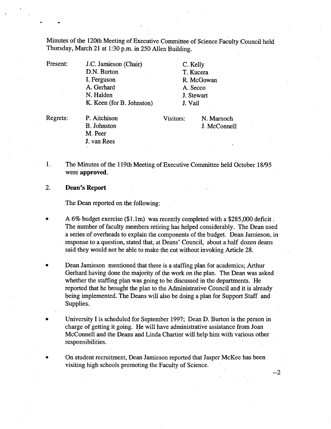Minutes of the 120th Meeting of Executive Committee of Science Faculty Council held Thursday, March 21 at 1:30 p.m. in *250* Allen Building.

Present: J.C. Jamieson (Chair) D.N. Burton I. Ferguson A. Gerhard N. Halden K. Keen (for B. Johnston) C. Kelly T. Kucera R. McGowan A. Secco J. Stewart J. Vail

Regrets: P. Aitchison B. Johnston M. Peer J. van Rees

Visitors: N. Marnoch J. McConnell

- 1. The Minutes of the 119th Meeting of Executive Cormnittee held October *18/95*  were **approved.**
- $2.$ **Dean's Report**

The Dean reported on the following:

- A 6% budget exercise (\$1.lm) was recently completed with a \$285,000 deficit. The number of faculty members retiring has helped considerably. The Dean used a series of overheads to explain the components of the budget. Dean Jamieson, in response to a question, stated that, at Deans' Council, about a half dozen deans said they would not be able to make the cut without invoking Article 28.
- Dean Jamieson mentioned that there is a staffing plan for academics; Arthur Gerhard having done the majority of the work on the plan. The Dean was asked whether the staffing plan was going to be discussed in the departments. He reported that he brought the plan to the Administrative Council and it is already being implemented. The Deans will also be doing a plan for Support Staff and Supplies.
- University I is scheduled for September 1997; Dean D. Burton is the person in charge of getting it going. He will have administrative assistance from Joan McConnell and the Deans and Linda Chartier will help him with various other responsibilities.
- On student recruitment, Dean Jamieson reported that Jasper McKee has been visiting high schools promoting the Faculty of Science.

--2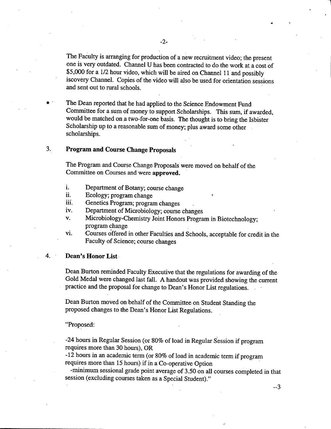The Faculty is arranging for production of a new recruitment video; the present one is very outdated. Channel U has been contracted to do the work at a cost of \$5,000 for a 1/2 hour video, which will be aired on Channel 11 and possibly iscovery Channel. Copies of the video will also be used for orientation sessions and sent out to rural schools.

The Dean reported that he had applied to the Science Endowment Fund Committee for a sum of money to support Scholarships. This sum, if awarded, would be matched on a two-for-one basis. The thought is to bring the Isbister Scholarship up to a reasonable sum of money; plus award some other scholarships.

# **3. Program and Course Change Proposals**

The Program and Course Change Proposals were moved on behalf of the Committee on Courses and were **approved.** 

- i. Department of Botany; course change
- ii. Ecology; program change
- iii. Genetics Program; program changes
- iv. Department of Microbiology; course changes
- V. Microbiology-Chemistry Joint Honors Program in Biotechnology; program change
- vi. Courses offered in other Faculties and Schools, acceptable for credit in the Faculty of Science; course changes

# 4. **Dean's Honor List**

Dean Burton reminded Faculty Executive that the regulations for awarding of the Gold Medal were changed last fall. A handout was provided showing the current practice and the proposal for change to Dean's Honor List regulations.

Dean Burton moved on behalf of the Committee on Student Standing the proposed changes to the Dean's Honor List Regulations.

### "Proposed:

-24 hours in Regular Session (or 80% of load in Regular Session if program requires more than 30 hours), OR

-12 hours in an academic term (or 80% of load in academic term if program requires more than 15 hours) if in a Co-operative Option

-minimum sessional grade point average of *3.50* on all courses completed in that session (excluding courses taken as a Special Student)."

--3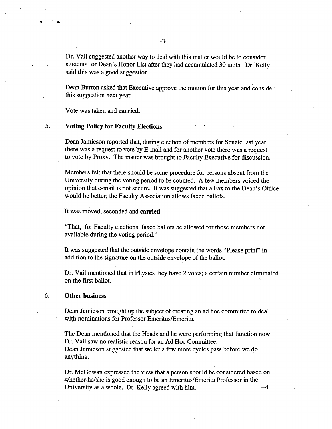Dr. Vail suggested another way to deal with this matter would be to consider students for Dean's Honor List after they had accumulated 30 units. Dr. 'Kelly said this was a good suggestion.

Dean Burton asked that Executive approve the motion for this year and consider this suggestion next year.

Vote was taken and **carried.** 

6.

5.

#### **Voting Policy for Faculty Elections**

Dean Jamieson reported that, during election of members for Senate last year, there was a request to vote by E-mail and for another vote there was a request to vote by Proxy. The matter was brought to Faculty Executive for discussion.

Members felt that there should be some procedure for persons absent from the University during the voting period to be counted. A few members voiced the opinion that e-mail is not secure. It was suggested that a Fax to the Dean's Office would be better; the Faculty Association allows faxed ballots.

It was moved, seconded and **carried:** 

"That, for Faculty elections, faxed ballots be allowed for those members not available during the voting period."

It was suggested that the outside envelope contain the words "Please print" in addition to the signature on the outside envelope of the ballot.

Dr. Vail mentioned that in Physics they have 2 votes; a certain number eliminated on the first ballot.

## **Other business**

6.

Dean Jamieson brought up the subject of creating an ad hoc committee to deal with nominations for Professor Emeritus/Emerita.

The Dean mentioned that the Heads and he were performing that function now. Dr. Vail saw no realistic reason for an Ad Hoc Committee. Dean Jamieson suggested that we let a few more cycles pass before we do anything.

Dr. McGowan expressed the view that a person should be considered based on whether. he/she is good enough to be an Emeritus/Emerita Professor in the University as a whole. Dr. Kelly agreed with him.  $-4$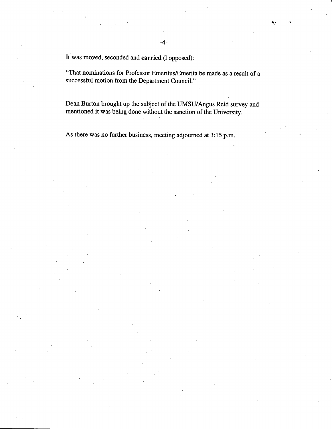It was moved, seconded and **carried** (1 opposed):

"That nominations *for* Professor EmeritusIEmerita be made as a result of a successful motion from the Department Council."

Dean Burton brought up the subject of the UMSU/Angus Reid survey and mentioned it was being done without the sanction of the University.

As there was no further business, meeting adjourned at 3:15 p.m.